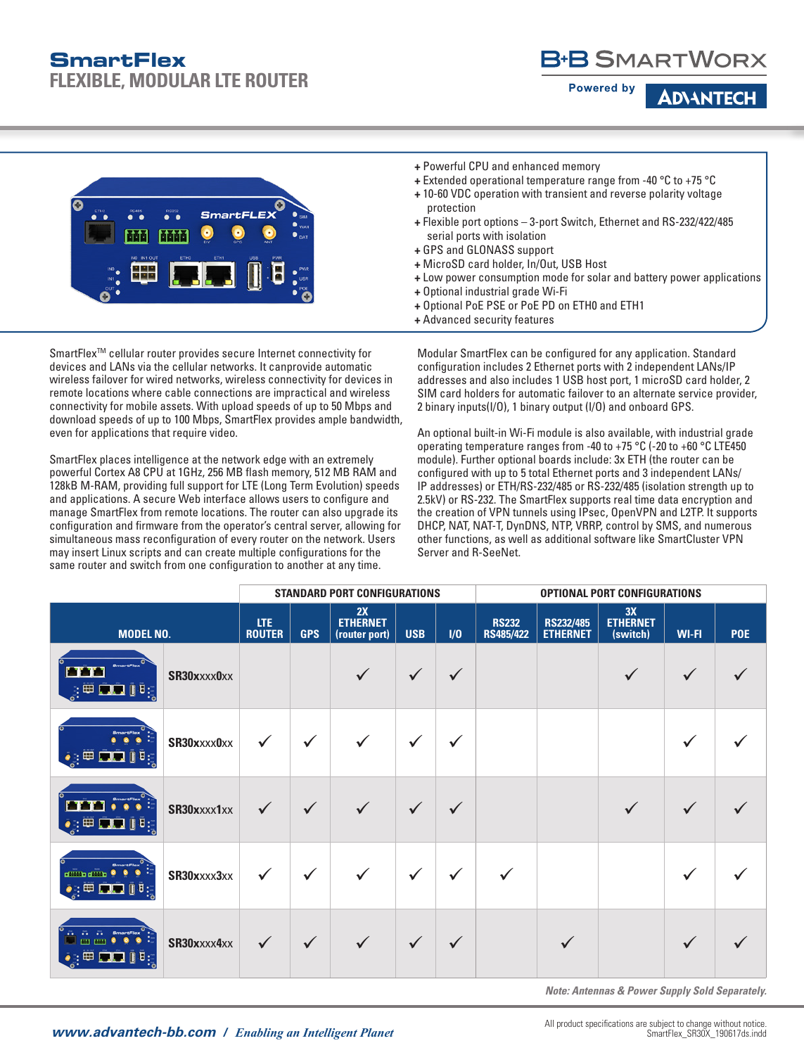# **SmartFlex**

**FLEXIBLE, MODULAR LTE ROUTER**

## B+B SMARTWORX

**Powered by** 

**ADAANTEC** 



**+** Powerful CPU and enhanced memory

- **+** Extended operational temperature range from -40 °C to +75 °C **+** 10-60 VDC operation with transient and reverse polarity voltage
- protection
- **+** Flexible port options 3-port Switch, Ethernet and RS-232/422/485 serial ports with isolation
- **+** GPS and GLONASS support
- **+** MicroSD card holder, In/Out, USB Host
- **+** Low power consumption mode for solar and battery power applications
- **+** Optional industrial grade Wi-Fi
- **+** Optional PoE PSE or PoE PD on ETH0 and ETH1
- **+** Advanced security features

SmartFlex<sup>™</sup> cellular router provides secure Internet connectivity for devices and LANs via the cellular networks. It canprovide automatic wireless failover for wired networks, wireless connectivity for devices in remote locations where cable connections are impractical and wireless connectivity for mobile assets. With upload speeds of up to 50 Mbps and download speeds of up to 100 Mbps, SmartFlex provides ample bandwidth, even for applications that require video.

SmartFlex places intelligence at the network edge with an extremely powerful Cortex A8 CPU at 1GHz, 256 MB flash memory, 512 MB RAM and 128kB M-RAM, providing full support for LTE (Long Term Evolution) speeds and applications. A secure Web interface allows users to configure and manage SmartFlex from remote locations. The router can also upgrade its configuration and firmware from the operator's central server, allowing for simultaneous mass reconfiguration of every router on the network. Users may insert Linux scripts and can create multiple configurations for the same router and switch from one configuration to another at any time.

Modular SmartFlex can be configured for any application. Standard configuration includes 2 Ethernet ports with 2 independent LANs/IP addresses and also includes 1 USB host port, 1 microSD card holder, 2 SIM card holders for automatic failover to an alternate service provider, 2 binary inputs(I/O), 1 binary output (I/O) and onboard GPS.

An optional built-in Wi-Fi module is also available, with industrial grade operating temperature ranges from -40 to +75 °C (-20 to +60 °C LTE450 module). Further optional boards include: 3x ETH (the router can be configured with up to 5 total Ethernet ports and 3 independent LANs/ IP addresses) or ETH/RS-232/485 or RS-232/485 (isolation strength up to 2.5kV) or RS-232. The SmartFlex supports real time data encryption and the creation of VPN tunnels using IPsec, OpenVPN and L2TP. It supports DHCP, NAT, NAT-T, DynDNS, NTP, VRRP, control by SMS, and numerous other functions, as well as additional software like SmartCluster VPN Server and R-SeeNet.

|                                                                                                              |             |                             |              | STANDARD PORT CONFIGURATIONS           |              |              |                           |                              | <b>OPTIONAL PORT CONFIGURATIONS</b> |              |     |
|--------------------------------------------------------------------------------------------------------------|-------------|-----------------------------|--------------|----------------------------------------|--------------|--------------|---------------------------|------------------------------|-------------------------------------|--------------|-----|
| <b>MODEL NO.</b>                                                                                             |             | <b>LTE</b><br><b>ROUTER</b> | <b>GPS</b>   | 2X<br><b>ETHERNET</b><br>(router port) | <b>USB</b>   | $1/0$        | <b>RS232</b><br>RS485/422 | <b>RS232/485</b><br>ETHERNET | 3X<br><b>ETHERNET</b><br>(switch)   | <b>WI-FI</b> | POE |
| <b>SmartFlex</b><br>$\mathbb{R}^{\oplus}$ and if $\mathbb{R}^{\oplus}$                                       | SR30xxxx0xx |                             |              |                                        | $\checkmark$ | $\checkmark$ |                           |                              |                                     | $\checkmark$ |     |
| <b>BmartFlex</b><br>$\bullet : \boxplus \blacksquare \blacksquare \blacksquare \blacksquare$                 | SR30xxxx0xx | $\checkmark$                | $\checkmark$ | $\checkmark$                           | $\checkmark$ | $\checkmark$ |                           |                              |                                     | ✓            |     |
| SmartFlex <sup>V</sup><br>$\bullet$ : $\boxplus$ $\Box$ $\Box$ $\Box$ $\boxplus$ :                           | SR30xxxx1xx | $\checkmark$                | $\checkmark$ | $\sqrt{}$                              | $\checkmark$ | $\checkmark$ |                           |                              | $\sqrt{ }$                          | $\checkmark$ |     |
| <b>SmartFlex</b><br>dillibration 0<br>٠<br>$\bullet : \boxplus \blacksquare \blacksquare \blacksquare$<br>B: | SR30xxxx3xx | $\checkmark$                | $\checkmark$ | $\checkmark$                           | $\checkmark$ | $\checkmark$ | $\checkmark$              |                              |                                     | ✓            |     |
| <b>SmartFlex</b><br>$\bullet: \boxplus \blacksquare$                                                         | SR30xxxx4xx | $\checkmark$                | $\checkmark$ | $\checkmark$                           | $\checkmark$ | $\checkmark$ |                           | $\checkmark$                 |                                     | $\sqrt{}$    |     |

*Note: Antennas & Power Supply Sold Separately.*

All product specifications are subject to change without notice.<br>SmartFlex\_SR30X\_190617ds.indd<br>Product specifications are subject to change without notice.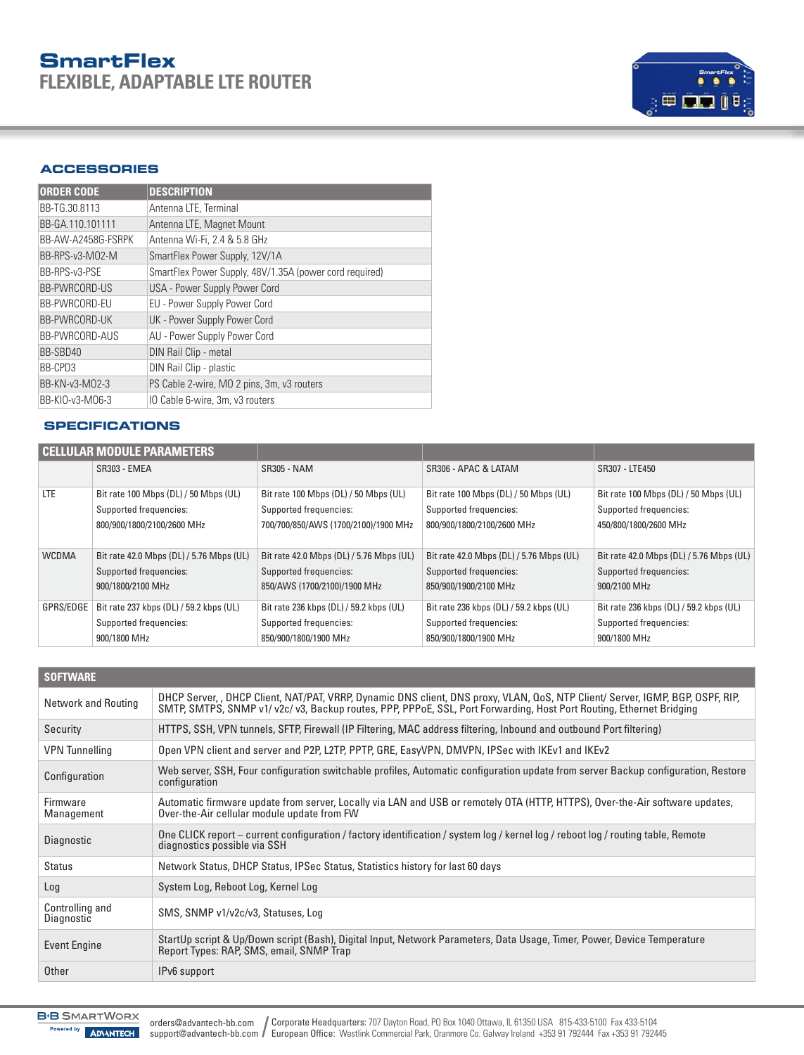## **SmartFlex FLEXIBLE, ADAPTABLE LTE ROUTER**



#### **ACCESSORIES**

| <b>ORDER CODE</b>    | <b>DESCRIPTION</b>                                      |
|----------------------|---------------------------------------------------------|
| BB-TG.30.8113        | Antenna LTE, Terminal                                   |
| BB-GA.110.101111     | Antenna LTE, Magnet Mount                               |
| BB-AW-A2458G-FSRPK   | Antenna Wi-Fi, 2.4 & 5.8 GHz                            |
| BB-RPS-v3-M02-M      | SmartFlex Power Supply, 12V/1A                          |
| BB-RPS-v3-PSE        | SmartFlex Power Supply, 48V/1.35A (power cord required) |
| <b>BB-PWRCORD-US</b> | USA - Power Supply Power Cord                           |
| BB-PWRCORD-EU        | EU - Power Supply Power Cord                            |
| BB-PWRCORD-UK        | UK - Power Supply Power Cord                            |
| BB-PWRCORD-AUS       | AU - Power Supply Power Cord                            |
| BB-SBD40             | DIN Rail Clip - metal                                   |
| BB-CPD3              | DIN Rail Clip - plastic                                 |
| BB-KN-v3-M02-3       | PS Cable 2-wire, MO 2 pins, 3m, v3 routers              |
| BB-KIO-v3-M06-3      | IO Cable 6-wire, 3m, v3 routers                         |

#### **SPECIFICATIONS**

|              | <b>CELLULAR MODULE PARAMETERS</b>        |                                          |                                          |                                          |
|--------------|------------------------------------------|------------------------------------------|------------------------------------------|------------------------------------------|
|              | <b>SR303 - EMEA</b>                      | SR305 - NAM                              | SR306 - APAC & LATAM                     | SR307 - LTE450                           |
| <b>LTE</b>   | Bit rate 100 Mbps (DL) / 50 Mbps (UL)    | Bit rate 100 Mbps (DL) / 50 Mbps (UL)    | Bit rate 100 Mbps (DL) / 50 Mbps (UL)    | Bit rate 100 Mbps (DL) / 50 Mbps (UL)    |
|              | Supported frequencies:                   | Supported frequencies:                   | Supported frequencies:                   | Supported frequencies:                   |
|              | 800/900/1800/2100/2600 MHz               | 700/700/850/AWS (1700/2100)/1900 MHz     | 800/900/1800/2100/2600 MHz               | 450/800/1800/2600 MHz                    |
|              |                                          |                                          |                                          |                                          |
| <b>WCDMA</b> | Bit rate 42.0 Mbps (DL) / 5.76 Mbps (UL) | Bit rate 42.0 Mbps (DL) / 5.76 Mbps (UL) | Bit rate 42.0 Mbps (DL) / 5.76 Mbps (UL) | Bit rate 42.0 Mbps (DL) / 5.76 Mbps (UL) |
|              | Supported frequencies:                   | Supported frequencies:                   | Supported frequencies:                   | Supported frequencies:                   |
|              | 900/1800/2100 MHz                        | 850/AWS (1700/2100)/1900 MHz             | 850/900/1900/2100 MHz                    | 900/2100 MHz                             |
| GPRS/EDGE    | Bit rate 237 kbps (DL) / 59.2 kbps (UL)  | Bit rate 236 kbps (DL) / 59.2 kbps (UL)  | Bit rate 236 kbps (DL) / 59.2 kbps (UL)  | Bit rate 236 kbps (DL) / 59.2 kbps (UL)  |
|              | Supported frequencies:                   | Supported frequencies:                   | Supported frequencies:                   | Supported frequencies:                   |
|              | 900/1800 MHz                             | 850/900/1800/1900 MHz                    | 850/900/1800/1900 MHz                    | 900/1800 MHz                             |

| <b>SOFTWARE</b>               |                                                                                                                                                                                                                                                      |
|-------------------------------|------------------------------------------------------------------------------------------------------------------------------------------------------------------------------------------------------------------------------------------------------|
| <b>Network and Routing</b>    | DHCP Server, , DHCP Client, NAT/PAT, VRRP, Dynamic DNS client, DNS proxy, VLAN, QoS, NTP Client/ Server, IGMP, BGP, OSPF, RIP,<br>SMTP, SMTPS, SNMP v1/v2c/v3, Backup routes, PPP, PPPoE, SSL, Port Forwarding, Host Port Routing, Ethernet Bridging |
| Security                      | HTTPS, SSH, VPN tunnels, SFTP, Firewall (IP Filtering, MAC address filtering, Inbound and outbound Port filtering)                                                                                                                                   |
| <b>VPN</b> Tunnelling         | Open VPN client and server and P2P, L2TP, PPTP, GRE, EasyVPN, DMVPN, IPSec with IKEv1 and IKEv2                                                                                                                                                      |
| Configuration                 | Web server, SSH, Four configuration switchable profiles, Automatic configuration update from server Backup configuration, Restore<br>configuration                                                                                                   |
| Firmware<br>Management        | Automatic firmware update from server, Locally via LAN and USB or remotely OTA (HTTP, HTTPS), Over-the-Air software updates,<br>Over-the-Air cellular module update from FW                                                                          |
| Diagnostic                    | One CLICK report – current configuration / factory identification / system log / kernel log / reboot log / routing table, Remote<br>diagnostics possible via SSH                                                                                     |
| Status                        | Network Status, DHCP Status, IPSec Status, Statistics history for last 60 days                                                                                                                                                                       |
| Log                           | System Log, Reboot Log, Kernel Log                                                                                                                                                                                                                   |
| Controlling and<br>Diagnostic | SMS, SNMP v1/v2c/v3, Statuses, Log                                                                                                                                                                                                                   |
| <b>Event Engine</b>           | StartUp script & Up/Down script (Bash), Digital Input, Network Parameters, Data Usage, Timer, Power, Device Temperature<br>Report Types: RAP, SMS, email, SNMP Trap                                                                                  |
| Other                         | IPv6 support                                                                                                                                                                                                                                         |

**B-B** SMARTWORX Powered by **ADVANTECH**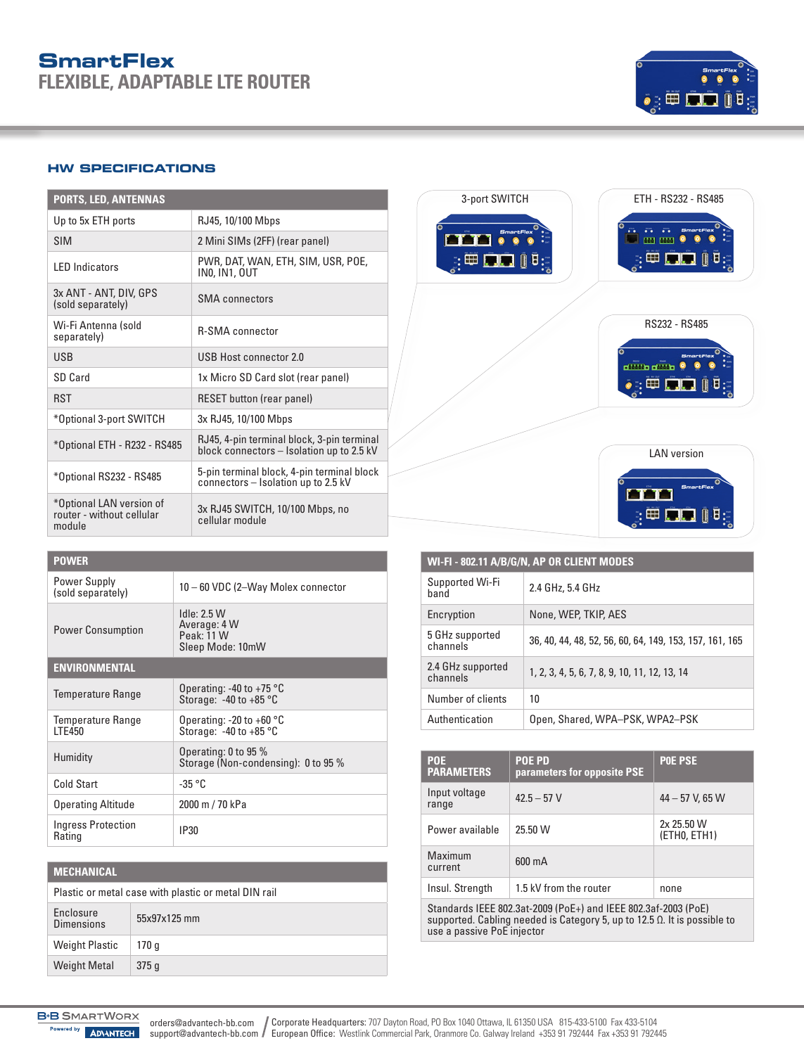### **SmartFlex FLEXIBLE, ADAPTABLE LTE ROUTER**



#### **HW SPECIFICATIONS**

| <b>PORTS, LED, ANTENNAS</b>                                     |                                                                                         |
|-----------------------------------------------------------------|-----------------------------------------------------------------------------------------|
| Up to 5x ETH ports                                              | RJ45, 10/100 Mbps                                                                       |
| <b>SIM</b>                                                      | 2 Mini SIMs (2FF) (rear panel)                                                          |
| <b>IFD</b> Indicators                                           | PWR, DAT, WAN, ETH, SIM, USR, POE,<br><b>INO, IN1, OUT</b>                              |
| 3x ANT - ANT, DIV, GPS<br>(sold separately)                     | <b>SMA</b> connectors                                                                   |
| Wi-Fi Antenna (sold<br>separately)                              | <b>R-SMA</b> connector                                                                  |
| <b>USB</b>                                                      | USB Host connector 2.0                                                                  |
| SD Card                                                         | 1x Micro SD Card slot (rear panel)                                                      |
| <b>RST</b>                                                      | <b>RESET button (rear panel)</b>                                                        |
| *Optional 3-port SWITCH                                         | 3x RJ45, 10/100 Mbps                                                                    |
| *Optional ETH - R232 - RS485                                    | RJ45, 4-pin terminal block, 3-pin terminal<br>block connectors - Isolation up to 2.5 kV |
| *Optional RS232 - RS485                                         | 5-pin terminal block, 4-pin terminal block<br>connectors - Isolation up to 2.5 kV       |
| *Optional LAN version of<br>router - without cellular<br>module | 3x RJ45 SWITCH, 10/100 Mbps, no<br>cellular module                                      |

#### **POWER**

| Power Supply<br>(sold separately)   | 10 - 60 VDC (2-Way Molex connector                               |  |
|-------------------------------------|------------------------------------------------------------------|--|
| <b>Power Consumption</b>            | Idle: 2.5 W<br>Average: 4 W<br>Peak: 11 W<br>Sleep Mode: 10mW    |  |
| <b>ENVIRONMENTAL</b>                |                                                                  |  |
| <b>Temperature Range</b>            | Operating: -40 to +75 $\degree$ C<br>Storage: $-40$ to $+85$ °C  |  |
| <b>Temperature Range</b><br>ITF450  | Operating: -20 to +60 $^{\circ}$ C<br>Storage: $-40$ to $+85$ °C |  |
| Humidity                            | Operating: 0 to 95 %<br>Storage (Non-condensing): 0 to 95 %      |  |
| Cold Start                          | $-35 °C$                                                         |  |
| <b>Operating Altitude</b>           | 2000 m / 70 kPa                                                  |  |
| <b>Ingress Protection</b><br>Rating | IP30                                                             |  |

| <b>MECHANICAL</b>                                    |              |  |  |
|------------------------------------------------------|--------------|--|--|
| Plastic or metal case with plastic or metal DIN rail |              |  |  |
| Enclosure<br><b>Dimensions</b>                       | 55x97x125 mm |  |  |
| <b>Weight Plastic</b>                                | 170 q        |  |  |
| <b>Weight Metal</b>                                  | 375q         |  |  |



| WI-FI-802.11 A/B/G/N, AP OR CLIENT MODES |                                                         |  |
|------------------------------------------|---------------------------------------------------------|--|
| Supported Wi-Fi<br>hand                  | 2.4 GHz, 5.4 GHz                                        |  |
| Encryption                               | None, WEP, TKIP, AES                                    |  |
| 5 GHz supported<br>channels              | 36, 40, 44, 48, 52, 56, 60, 64, 149, 153, 157, 161, 165 |  |
| 2.4 GHz supported<br>channels            | 1, 2, 3, 4, 5, 6, 7, 8, 9, 10, 11, 12, 13, 14           |  |
| Number of clients                        | 10                                                      |  |
| Authentication                           | Open, Shared, WPA-PSK, WPA2-PSK                         |  |

| <b>POE</b><br><b>PARAMETERS</b>                                                                                                                                                  | <b>POE PD</b><br>parameters for opposite PSE | <b>POE PSE</b>             |  |
|----------------------------------------------------------------------------------------------------------------------------------------------------------------------------------|----------------------------------------------|----------------------------|--|
| Input voltage<br>range                                                                                                                                                           | $42.5 - 57$ V                                | $44 - 57$ V, 65 W          |  |
| Power available                                                                                                                                                                  | 25.50 W                                      | 2x 25.50 W<br>(ETHO, ETH1) |  |
| Maximum<br>current                                                                                                                                                               | 600 mA                                       |                            |  |
| Insul. Strength                                                                                                                                                                  | 1.5 kV from the router                       | none                       |  |
| Standards IEEE 802.3at-2009 (PoE+) and IEEE 802.3af-2003 (PoE)<br>supported. Cabling needed is Category 5, up to 12.5 $\Omega$ . It is possible to<br>use a passive PoE injector |                                              |                            |  |